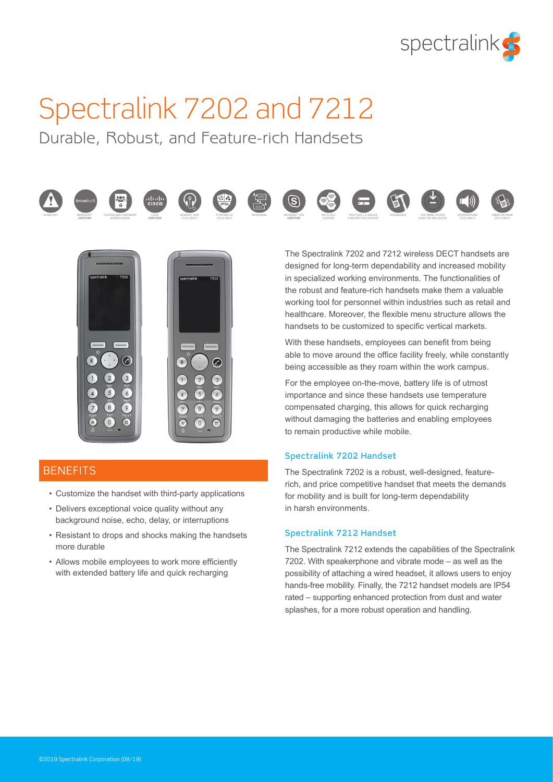

# Spectralink 7202 and 7212

Durable, Robust, and Feature-rich Handsets







**CERTIFIED**















The Spectralink 7202 and 7212 wireless DECT handsets are designed for long-term dependability and increased mobility in specialized working environments. The functionalities of the robust and feature-rich handsets make them a valuable working tool for personnel within industries such as retail and healthcare. Moreover, the flexible menu structure allows the handsets to be customized to specific vertical markets.

With these handsets, employees can benefit from being able to move around the office facility freely, while constantly being accessible as they roam within the work campus.

For the employee on-the-move, battery life is of utmost importance and since these handsets use temperature compensated charging, this allows for quick recharging without damaging the batteries and enabling employees to remain productive while mobile.

#### Spectralink 7202 Handset

The Spectralink 7202 is a robust, well-designed, featurerich, and price competitive handset that meets the demands for mobility and is built for long-term dependability in harsh environments.

#### Spectralink 7212 Handset

The Spectralink 7212 extends the capabilities of the Spectralink 7202. With speakerphone and vibrate mode – as well as the possibility of attaching a wired headset, it allows users to enjoy hands-free mobility. Finally, the 7212 handset models are IP54 rated – supporting enhanced protection from dust and water splashes, for a more robust operation and handling.

### **BENEFITS**

- Customize the handset with third-party applications
- Delivers exceptional voice quality without any background noise, echo, delay, or interruptions
- Resistant to drops and shocks making the handsets more durable
- Allows mobile employees to work more efficiently with extended battery life and quick recharging